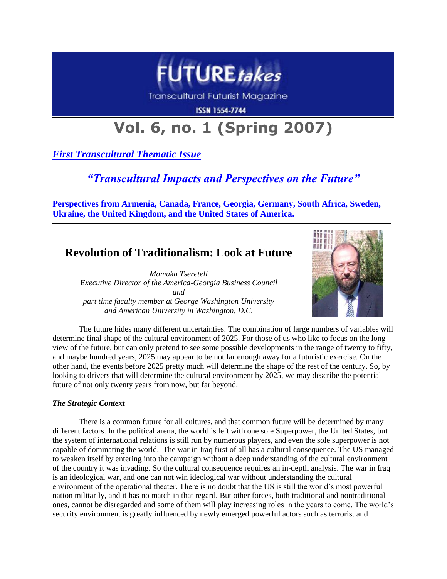

Transcultural Futurist Magazine

**ISSN 1554-7744** 

# **Vol. 6, no. 1 (Spring 2007)**

*First Transcultural Thematic Issue*

## *"Transcultural Impacts and Perspectives on the Future"*

**Perspectives from Armenia, Canada, France, Georgia, Germany, South Africa, Sweden, Ukraine, the United Kingdom, and the United States of America.**

## **Revolution of Traditionalism: Look at Future**

*Mamuka Tsereteli Executive Director of the America-Georgia Business Council and part time faculty member at George Washington University and American University in Washington, D.C.*



The future hides many different uncertainties. The combination of large numbers of variables will determine final shape of the cultural environment of 2025. For those of us who like to focus on the long view of the future, but can only pretend to see some possible developments in the range of twenty to fifty, and maybe hundred years, 2025 may appear to be not far enough away for a futuristic exercise. On the other hand, the events before 2025 pretty much will determine the shape of the rest of the century. So, by looking to drivers that will determine the cultural environment by 2025, we may describe the potential future of not only twenty years from now, but far beyond.

### *The Strategic Context*

There is a common future for all cultures, and that common future will be determined by many different factors. In the political arena, the world is left with one sole Superpower, the United States, but the system of international relations is still run by numerous players, and even the sole superpower is not capable of dominating the world. The war in Iraq first of all has a cultural consequence. The US managed to weaken itself by entering into the campaign without a deep understanding of the cultural environment of the country it was invading. So the cultural consequence requires an in-depth analysis. The war in Iraq is an ideological war, and one can not win ideological war without understanding the cultural environment of the operational theater. There is no doubt that the US is still the world's most powerful nation militarily, and it has no match in that regard. But other forces, both traditional and nontraditional ones, cannot be disregarded and some of them will play increasing roles in the years to come. The world's security environment is greatly influenced by newly emerged powerful actors such as terrorist and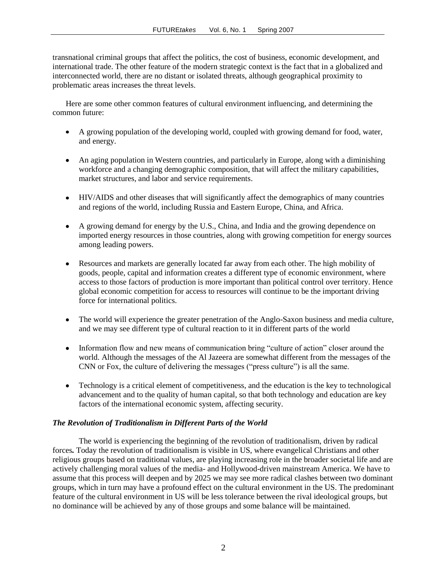transnational criminal groups that affect the politics, the cost of business, economic development, and international trade. The other feature of the modern strategic context is the fact that in a globalized and interconnected world, there are no distant or isolated threats, although geographical proximity to problematic areas increases the threat levels.

Here are some other common features of cultural environment influencing, and determining the common future:

- A growing population of the developing world, coupled with growing demand for food, water,  $\bullet$ and energy.
- An aging population in Western countries, and particularly in Europe, along with a diminishing workforce and a changing demographic composition, that will affect the military capabilities, market structures, and labor and service requirements.
- HIV/AIDS and other diseases that will significantly affect the demographics of many countries and regions of the world, including Russia and Eastern Europe, China, and Africa.
- A growing demand for energy by the U.S., China, and India and the growing dependence on imported energy resources in those countries, along with growing competition for energy sources among leading powers.
- Resources and markets are generally located far away from each other. The high mobility of goods, people, capital and information creates a different type of economic environment, where access to those factors of production is more important than political control over territory. Hence global economic competition for access to resources will continue to be the important driving force for international politics.
- The world will experience the greater penetration of the Anglo-Saxon business and media culture, and we may see different type of cultural reaction to it in different parts of the world
- Information flow and new means of communication bring "culture of action" closer around the  $\bullet$ world. Although the messages of the Al Jazeera are somewhat different from the messages of the CNN or Fox, the culture of delivering the messages ("press culture") is all the same.
- Technology is a critical element of competitiveness, and the education is the key to technological  $\bullet$ advancement and to the quality of human capital, so that both technology and education are key factors of the international economic system, affecting security.

### *The Revolution of Traditionalism in Different Parts of the World*

The world is experiencing the beginning of the revolution of traditionalism, driven by radical forces*.* Today the revolution of traditionalism is visible in US, where evangelical Christians and other religious groups based on traditional values, are playing increasing role in the broader societal life and are actively challenging moral values of the media- and Hollywood-driven mainstream America. We have to assume that this process will deepen and by 2025 we may see more radical clashes between two dominant groups, which in turn may have a profound effect on the cultural environment in the US. The predominant feature of the cultural environment in US will be less tolerance between the rival ideological groups, but no dominance will be achieved by any of those groups and some balance will be maintained.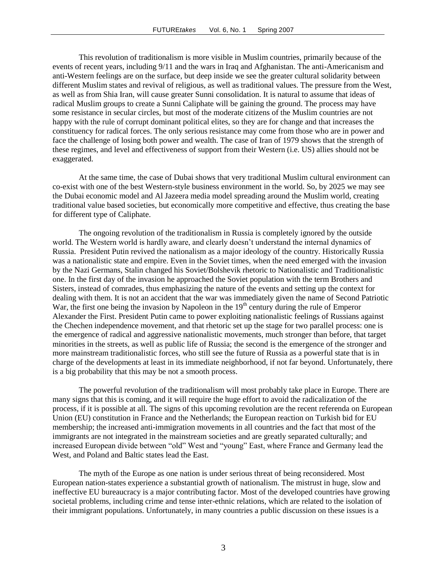This revolution of traditionalism is more visible in Muslim countries, primarily because of the events of recent years, including 9/11 and the wars in Iraq and Afghanistan. The anti-Americanism and anti-Western feelings are on the surface, but deep inside we see the greater cultural solidarity between different Muslim states and revival of religious, as well as traditional values. The pressure from the West, as well as from Shia Iran, will cause greater Sunni consolidation. It is natural to assume that ideas of radical Muslim groups to create a Sunni Caliphate will be gaining the ground. The process may have some resistance in secular circles, but most of the moderate citizens of the Muslim countries are not happy with the rule of corrupt dominant political elites, so they are for change and that increases the constituency for radical forces. The only serious resistance may come from those who are in power and face the challenge of losing both power and wealth. The case of Iran of 1979 shows that the strength of these regimes, and level and effectiveness of support from their Western (i.e. US) allies should not be exaggerated.

At the same time, the case of Dubai shows that very traditional Muslim cultural environment can co-exist with one of the best Western-style business environment in the world. So, by 2025 we may see the Dubai economic model and Al Jazeera media model spreading around the Muslim world, creating traditional value based societies, but economically more competitive and effective, thus creating the base for different type of Caliphate.

The ongoing revolution of the traditionalism in Russia is completely ignored by the outside world. The Western world is hardly aware, and clearly doesn't understand the internal dynamics of Russia. President Putin revived the nationalism as a major ideology of the country. Historically Russia was a nationalistic state and empire. Even in the Soviet times, when the need emerged with the invasion by the Nazi Germans, Stalin changed his Soviet/Bolshevik rhetoric to Nationalistic and Traditionalistic one. In the first day of the invasion he approached the Soviet population with the term Brothers and Sisters, instead of comrades, thus emphasizing the nature of the events and setting up the context for dealing with them. It is not an accident that the war was immediately given the name of Second Patriotic War, the first one being the invasion by Napoleon in the  $19<sup>th</sup>$  century during the rule of Emperor Alexander the First. President Putin came to power exploiting nationalistic feelings of Russians against the Chechen independence movement, and that rhetoric set up the stage for two parallel process: one is the emergence of radical and aggressive nationalistic movements, much stronger than before, that target minorities in the streets, as well as public life of Russia; the second is the emergence of the stronger and more mainstream traditionalistic forces, who still see the future of Russia as a powerful state that is in charge of the developments at least in its immediate neighborhood, if not far beyond. Unfortunately, there is a big probability that this may be not a smooth process.

The powerful revolution of the traditionalism will most probably take place in Europe. There are many signs that this is coming, and it will require the huge effort to avoid the radicalization of the process, if it is possible at all. The signs of this upcoming revolution are the recent referenda on European Union (EU) constitution in France and the Netherlands; the European reaction on Turkish bid for EU membership; the increased anti-immigration movements in all countries and the fact that most of the immigrants are not integrated in the mainstream societies and are greatly separated culturally; and increased European divide between "old" West and "young" East, where France and Germany lead the West, and Poland and Baltic states lead the East.

The myth of the Europe as one nation is under serious threat of being reconsidered. Most European nation-states experience a substantial growth of nationalism. The mistrust in huge, slow and ineffective EU bureaucracy is a major contributing factor. Most of the developed countries have growing societal problems, including crime and tense inter-ethnic relations, which are related to the isolation of their immigrant populations. Unfortunately, in many countries a public discussion on these issues is a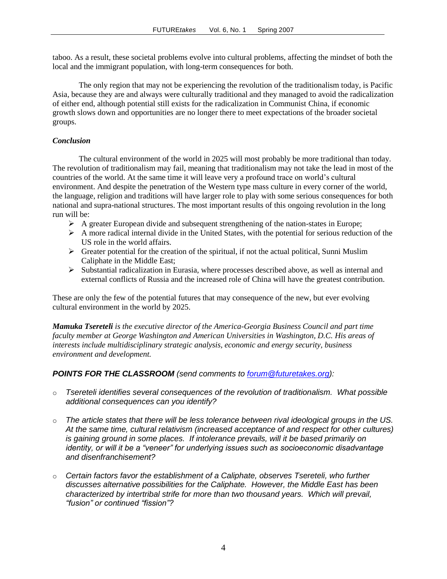taboo. As a result, these societal problems evolve into cultural problems, affecting the mindset of both the local and the immigrant population, with long-term consequences for both.

The only region that may not be experiencing the revolution of the traditionalism today, is Pacific Asia, because they are and always were culturally traditional and they managed to avoid the radicalization of either end, although potential still exists for the radicalization in Communist China, if economic growth slows down and opportunities are no longer there to meet expectations of the broader societal groups.

#### *Conclusion*

The cultural environment of the world in 2025 will most probably be more traditional than today. The revolution of traditionalism may fail, meaning that traditionalism may not take the lead in most of the countries of the world. At the same time it will leave very a profound trace on world's cultural environment. And despite the penetration of the Western type mass culture in every corner of the world, the language, religion and traditions will have larger role to play with some serious consequences for both national and supra-national structures. The most important results of this ongoing revolution in the long run will be:

- $\triangleright$  A greater European divide and subsequent strengthening of the nation-states in Europe;
- $\triangleright$  A more radical internal divide in the United States, with the potential for serious reduction of the US role in the world affairs.
- $\triangleright$  Greater potential for the creation of the spiritual, if not the actual political, Sunni Muslim Caliphate in the Middle East;
- $\triangleright$  Substantial radicalization in Eurasia, where processes described above, as well as internal and external conflicts of Russia and the increased role of China will have the greatest contribution.

These are only the few of the potential futures that may consequence of the new, but ever evolving cultural environment in the world by 2025.

*Mamuka Tsereteli is the executive director of the America-Georgia Business Council and part time faculty member at George Washington and American Universities in Washington, D.C. His areas of interests include multidisciplinary strategic analysis, economic and energy security, business environment and development.* 

### *POINTS FOR THE CLASSROOM (send comments to [forum@futuretakes.org\)](mailto:forum@futuretakes.org):*

- o *Tsereteli identifies several consequences of the revolution of traditionalism. What possible additional consequences can you identify?*
- o *The article states that there will be less tolerance between rival ideological groups in the US. At the same time, cultural relativism (increased acceptance of and respect for other cultures)*  is gaining ground in some places. If intolerance prevails, will it be based primarily on *identity, or will it be a "veneer" for underlying issues such as socioeconomic disadvantage and disenfranchisement?*
- o *Certain factors favor the establishment of a Caliphate, observes Tsereteli, who further discusses alternative possibilities for the Caliphate. However, the Middle East has been characterized by intertribal strife for more than two thousand years. Which will prevail, "fusion" or continued "fission"?*